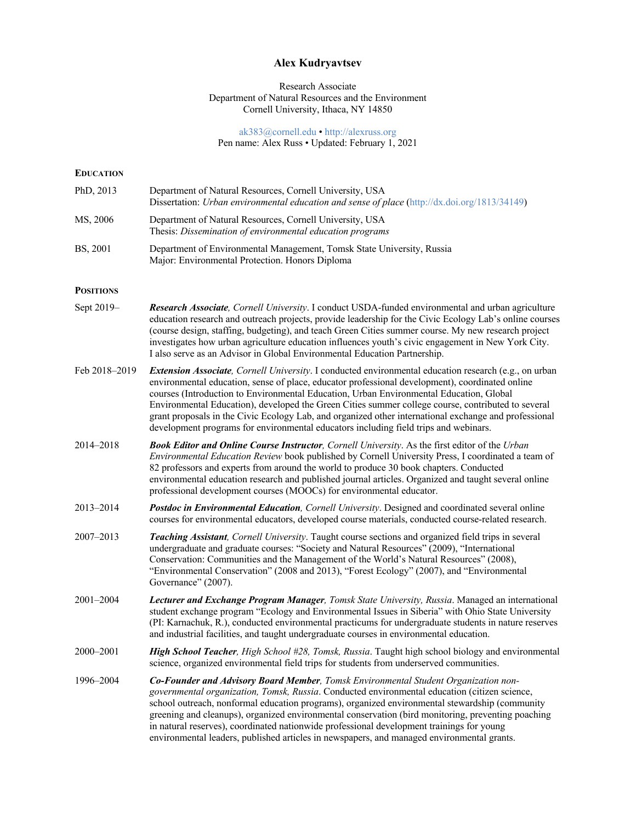# **Alex Kudryavtsev**

# Research Associate Department of Natural Resources and the Environment Cornell University, Ithaca, NY 14850

### ak383@cornell.edu • http://alexruss.org Pen name: Alex Russ • Updated: February 1, 2021

| <b>EDUCATION</b> |                                                                                                                                                                                                                                                                                                                                                                                                                                                                                                                                                                                                                    |
|------------------|--------------------------------------------------------------------------------------------------------------------------------------------------------------------------------------------------------------------------------------------------------------------------------------------------------------------------------------------------------------------------------------------------------------------------------------------------------------------------------------------------------------------------------------------------------------------------------------------------------------------|
| PhD, 2013        | Department of Natural Resources, Cornell University, USA<br>Dissertation: Urban environmental education and sense of place (http://dx.doi.org/1813/34149)                                                                                                                                                                                                                                                                                                                                                                                                                                                          |
| MS, 2006         | Department of Natural Resources, Cornell University, USA<br>Thesis: Dissemination of environmental education programs                                                                                                                                                                                                                                                                                                                                                                                                                                                                                              |
| BS, 2001         | Department of Environmental Management, Tomsk State University, Russia<br>Major: Environmental Protection. Honors Diploma                                                                                                                                                                                                                                                                                                                                                                                                                                                                                          |
| <b>POSITIONS</b> |                                                                                                                                                                                                                                                                                                                                                                                                                                                                                                                                                                                                                    |
| Sept 2019-       | Research Associate, Cornell University. I conduct USDA-funded environmental and urban agriculture<br>education research and outreach projects, provide leadership for the Civic Ecology Lab's online courses<br>(course design, staffing, budgeting), and teach Green Cities summer course. My new research project<br>investigates how urban agriculture education influences youth's civic engagement in New York City.<br>I also serve as an Advisor in Global Environmental Education Partnership.                                                                                                             |
| Feb 2018-2019    | <b>Extension Associate</b> , Cornell University. I conducted environmental education research (e.g., on urban<br>environmental education, sense of place, educator professional development), coordinated online<br>courses (Introduction to Environmental Education, Urban Environmental Education, Global<br>Environmental Education), developed the Green Cities summer college course, contributed to several<br>grant proposals in the Civic Ecology Lab, and organized other international exchange and professional<br>development programs for environmental educators including field trips and webinars. |
| 2014-2018        | Book Editor and Online Course Instructor, Cornell University. As the first editor of the Urban<br>Environmental Education Review book published by Cornell University Press, I coordinated a team of<br>82 professors and experts from around the world to produce 30 book chapters. Conducted<br>environmental education research and published journal articles. Organized and taught several online<br>professional development courses (MOOCs) for environmental educator.                                                                                                                                     |
| 2013–2014        | Postdoc in Environmental Education, Cornell University. Designed and coordinated several online<br>courses for environmental educators, developed course materials, conducted course-related research.                                                                                                                                                                                                                                                                                                                                                                                                             |
| 2007–2013        | Teaching Assistant, Cornell University. Taught course sections and organized field trips in several<br>undergraduate and graduate courses: "Society and Natural Resources" (2009), "International<br>Conservation: Communities and the Management of the World's Natural Resources" (2008),<br>"Environmental Conservation" (2008 and 2013), "Forest Ecology" (2007), and "Environmental<br>Governance" (2007).                                                                                                                                                                                                    |
| 2001–2004        | Lecturer and Exchange Program Manager, Tomsk State University, Russia. Managed an international<br>student exchange program "Ecology and Environmental Issues in Siberia" with Ohio State University<br>(PI: Karnachuk, R.), conducted environmental practicums for undergraduate students in nature reserves<br>and industrial facilities, and taught undergraduate courses in environmental education.                                                                                                                                                                                                           |
| 2000–2001        | High School Teacher, High School #28, Tomsk, Russia. Taught high school biology and environmental<br>science, organized environmental field trips for students from underserved communities.                                                                                                                                                                                                                                                                                                                                                                                                                       |
| 1996-2004        | Co-Founder and Advisory Board Member, Tomsk Environmental Student Organization non-<br>governmental organization, Tomsk, Russia. Conducted environmental education (citizen science,<br>school outreach, nonformal education programs), organized environmental stewardship (community<br>greening and cleanups), organized environmental conservation (bird monitoring, preventing poaching<br>in natural reserves), coordinated nationwide professional development trainings for young<br>environmental leaders, published articles in newspapers, and managed environmental grants.                            |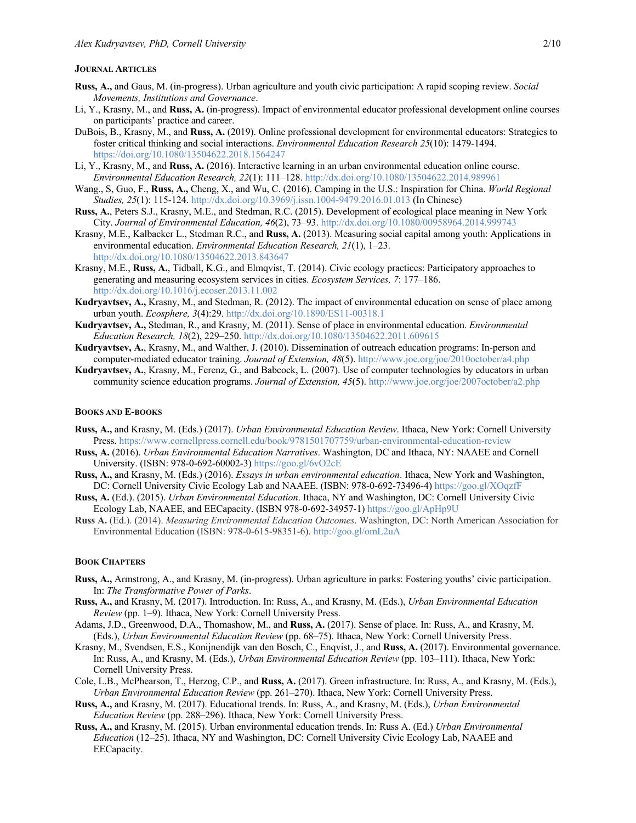### **JOURNAL ARTICLES**

- **Russ, A.,** and Gaus, M. (in-progress). Urban agriculture and youth civic participation: A rapid scoping review. *Social Movements, Institutions and Governance*.
- Li, Y., Krasny, M., and **Russ, A.** (in-progress). Impact of environmental educator professional development online courses on participants' practice and career.
- DuBois, B., Krasny, M., and **Russ, A.** (2019). Online professional development for environmental educators: Strategies to foster critical thinking and social interactions. *Environmental Education Research 25*(10): 1479-1494. https://doi.org/10.1080/13504622.2018.1564247
- Li, Y., Krasny, M., and **Russ, A.** (2016). Interactive learning in an urban environmental education online course. *Environmental Education Research, 22*(1): 111–128. http://dx.doi.org/10.1080/13504622.2014.989961
- Wang., S, Guo, F., **Russ, A.,** Cheng, X., and Wu, C. (2016). Camping in the U.S.: Inspiration for China. *World Regional Studies, 25*(1): 115-124. http://dx.doi.org/10.3969/j.issn.1004-9479.2016.01.013 (In Chinese)
- **Russ, A.**, Peters S.J., Krasny, M.E., and Stedman, R.C. (2015). Development of ecological place meaning in New York City. *Journal of Environmental Education, 46*(2), 73–93. http://dx.doi.org/10.1080/00958964.2014.999743
- Krasny, M.E., Kalbacker L., Stedman R.C., and **Russ, A.** (2013). Measuring social capital among youth: Applications in environmental education. *Environmental Education Research, 21*(1), 1–23. http://dx.doi.org/10.1080/13504622.2013.843647
- Krasny, M.E., **Russ, A.**, Tidball, K.G., and Elmqvist, T. (2014). Civic ecology practices: Participatory approaches to generating and measuring ecosystem services in cities. *Ecosystem Services, 7*: 177–186. http://dx.doi.org/10.1016/j.ecoser.2013.11.002
- **Kudryavtsev, A.,** Krasny, M., and Stedman, R. (2012). The impact of environmental education on sense of place among urban youth. *Ecosphere, 3*(4):29. http://dx.doi.org/10.1890/ES11-00318.1
- **Kudryavtsev, A.,** Stedman, R., and Krasny, M. (2011). Sense of place in environmental education. *Environmental Education Research, 18*(2), 229–250. http://dx.doi.org/10.1080/13504622.2011.609615
- **Kudryavtsev, A.**, Krasny, M., and Walther, J. (2010). Dissemination of outreach education programs: In-person and computer-mediated educator training. *Journal of Extension, 48*(5). http://www.joe.org/joe/2010october/a4.php
- **Kudryavtsev, A.**, Krasny, M., Ferenz, G., and Babcock, L. (2007). Use of computer technologies by educators in urban community science education programs. *Journal of Extension, 45*(5). http://www.joe.org/joe/2007october/a2.php

### **BOOKS AND E-BOOKS**

- **Russ, A.,** and Krasny, M. (Eds.) (2017). *Urban Environmental Education Review*. Ithaca, New York: Cornell University Press. https://www.cornellpress.cornell.edu/book/9781501707759/urban-environmental-education-review
- **Russ, A.** (2016). *Urban Environmental Education Narratives*. Washington, DC and Ithaca, NY: NAAEE and Cornell University. (ISBN: 978-0-692-60002-3) https://goo.gl/6vO2cE
- **Russ, A.,** and Krasny, M. (Eds.) (2016). *Essays in urban environmental education*. Ithaca, New York and Washington, DC: Cornell University Civic Ecology Lab and NAAEE. (ISBN: 978-0-692-73496-4) https://goo.gl/XOqzfF
- **Russ, A.** (Ed.). (2015). *Urban Environmental Education*. Ithaca, NY and Washington, DC: Cornell University Civic Ecology Lab, NAAEE, and EECapacity. (ISBN 978-0-692-34957-1) https://goo.gl/ApHp9U
- **Russ A.** (Ed.). (2014). *Measuring Environmental Education Outcomes*. Washington, DC: North American Association for Environmental Education (ISBN: 978-0-615-98351-6). http://goo.gl/omL2uA

#### **BOOK CHAPTERS**

- **Russ, A.,** Armstrong, A., and Krasny, M. (in-progress). Urban agriculture in parks: Fostering youths' civic participation. In: *The Transformative Power of Parks*.
- **Russ, A.,** and Krasny, M. (2017). Introduction. In: Russ, A., and Krasny, M. (Eds.), *Urban Environmental Education Review* (pp. 1–9). Ithaca, New York: Cornell University Press.
- Adams, J.D., Greenwood, D.A., Thomashow, M., and **Russ, A.** (2017). Sense of place. In: Russ, A., and Krasny, M. (Eds.), *Urban Environmental Education Review* (pp. 68–75). Ithaca, New York: Cornell University Press.
- Krasny, M., Svendsen, E.S., Konijnendijk van den Bosch, C., Enqvist, J., and **Russ, A.** (2017). Environmental governance. In: Russ, A., and Krasny, M. (Eds.), *Urban Environmental Education Review* (pp. 103–111). Ithaca, New York: Cornell University Press.
- Cole, L.B., McPhearson, T., Herzog, C.P., and **Russ, A.** (2017). Green infrastructure. In: Russ, A., and Krasny, M. (Eds.), *Urban Environmental Education Review* (pp. 261–270). Ithaca, New York: Cornell University Press.
- **Russ, A.,** and Krasny, M. (2017). Educational trends. In: Russ, A., and Krasny, M. (Eds.), *Urban Environmental Education Review* (pp. 288–296). Ithaca, New York: Cornell University Press.
- **Russ, A.,** and Krasny, M. (2015). Urban environmental education trends. In: Russ A. (Ed.) *Urban Environmental Education* (12–25). Ithaca, NY and Washington, DC: Cornell University Civic Ecology Lab, NAAEE and EECapacity.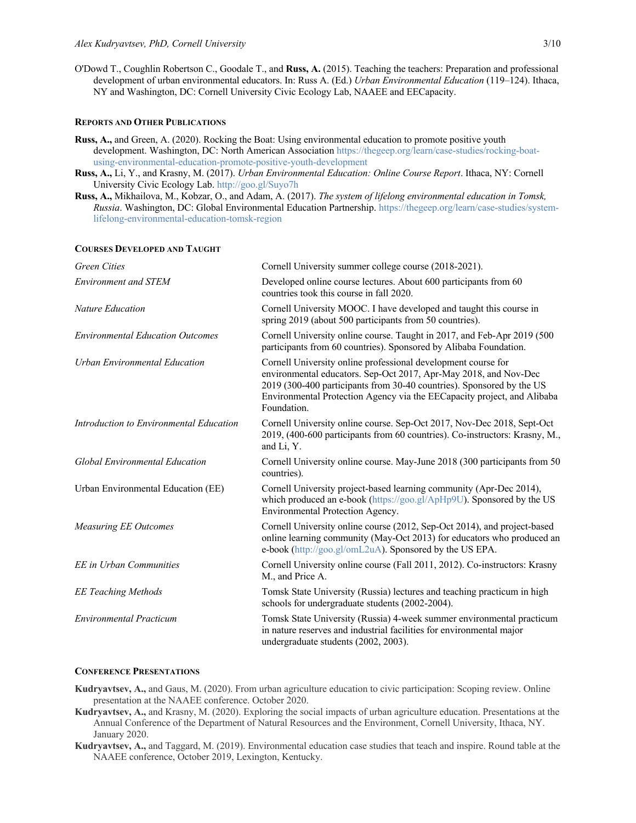O'Dowd T., Coughlin Robertson C., Goodale T., and **Russ, A.** (2015). Teaching the teachers: Preparation and professional development of urban environmental educators. In: Russ A. (Ed.) *Urban Environmental Education* (119–124). Ithaca, NY and Washington, DC: Cornell University Civic Ecology Lab, NAAEE and EECapacity.

# **REPORTS AND OTHER PUBLICATIONS**

- **Russ, A.,** and Green, A. (2020). Rocking the Boat: Using environmental education to promote positive youth development. Washington, DC: North American Association https://thegeep.org/learn/case-studies/rocking-boatusing-environmental-education-promote-positive-youth-development
- **Russ, A.,** Li, Y., and Krasny, M. (2017). *Urban Environmental Education: Online Course Report*. Ithaca, NY: Cornell University Civic Ecology Lab. http://goo.gl/Suyo7h
- **Russ, A.,** Mikhailova, M., Kobzar, O., and Adam, A. (2017). *The system of lifelong environmental education in Tomsk, Russia*. Washington, DC: Global Environmental Education Partnership. https://thegeep.org/learn/case-studies/systemlifelong-environmental-education-tomsk-region

#### **COURSES DEVELOPED AND TAUGHT**

| Cornell University summer college course (2018-2021).                                                                                                                                                                                                                                                |
|------------------------------------------------------------------------------------------------------------------------------------------------------------------------------------------------------------------------------------------------------------------------------------------------------|
| Developed online course lectures. About 600 participants from 60<br>countries took this course in fall 2020.                                                                                                                                                                                         |
| Cornell University MOOC. I have developed and taught this course in<br>spring 2019 (about 500 participants from 50 countries).                                                                                                                                                                       |
| Cornell University online course. Taught in 2017, and Feb-Apr 2019 (500)<br>participants from 60 countries). Sponsored by Alibaba Foundation.                                                                                                                                                        |
| Cornell University online professional development course for<br>environmental educators. Sep-Oct 2017, Apr-May 2018, and Nov-Dec<br>2019 (300-400 participants from 30-40 countries). Sponsored by the US<br>Environmental Protection Agency via the EECapacity project, and Alibaba<br>Foundation. |
| Cornell University online course. Sep-Oct 2017, Nov-Dec 2018, Sept-Oct<br>2019, (400-600 participants from 60 countries). Co-instructors: Krasny, M.,<br>and Li, Y.                                                                                                                                  |
| Cornell University online course. May-June 2018 (300 participants from 50<br>countries).                                                                                                                                                                                                             |
| Cornell University project-based learning community (Apr-Dec 2014),<br>which produced an e-book (https://goo.gl/ApHp9U). Sponsored by the US<br>Environmental Protection Agency.                                                                                                                     |
| Cornell University online course (2012, Sep-Oct 2014), and project-based<br>online learning community (May-Oct 2013) for educators who produced an<br>e-book (http://goo.gl/omL2uA). Sponsored by the US EPA.                                                                                        |
| Cornell University online course (Fall 2011, 2012). Co-instructors: Krasny<br>M., and Price A.                                                                                                                                                                                                       |
| Tomsk State University (Russia) lectures and teaching practicum in high<br>schools for undergraduate students (2002-2004).                                                                                                                                                                           |
| Tomsk State University (Russia) 4-week summer environmental practicum<br>in nature reserves and industrial facilities for environmental major<br>undergraduate students (2002, 2003).                                                                                                                |
|                                                                                                                                                                                                                                                                                                      |

#### **CONFERENCE PRESENTATIONS**

- **Kudryavtsev, A.,** and Gaus, M. (2020). From urban agriculture education to civic participation: Scoping review. Online presentation at the NAAEE conference. October 2020.
- **Kudryavtsev, A.,** and Krasny, M. (2020). Exploring the social impacts of urban agriculture education. Presentations at the Annual Conference of the Department of Natural Resources and the Environment, Cornell University, Ithaca, NY. January 2020.
- **Kudryavtsev, A.,** and Taggard, M. (2019). Environmental education case studies that teach and inspire. Round table at the NAAEE conference, October 2019, Lexington, Kentucky.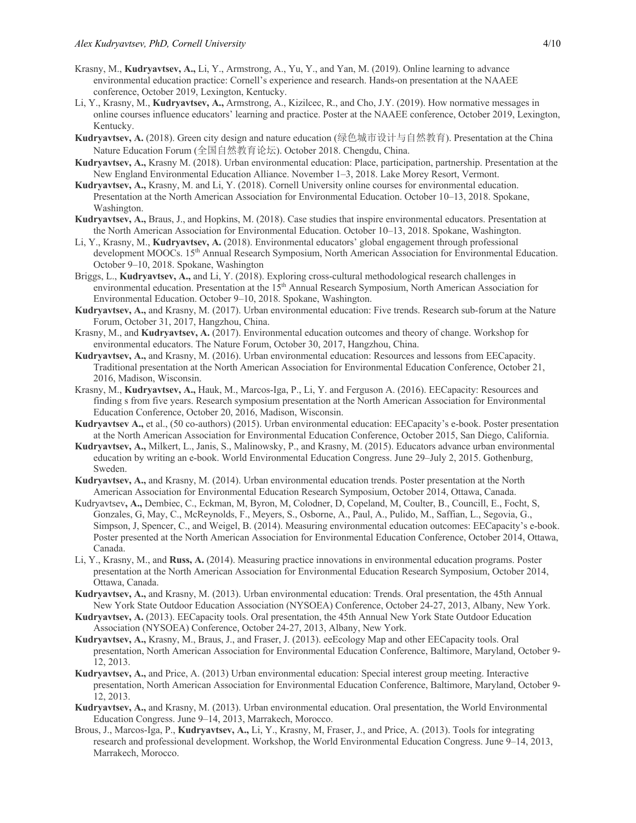- Krasny, M., **Kudryavtsev, A.,** Li, Y., Armstrong, A., Yu, Y., and Yan, M. (2019). Online learning to advance environmental education practice: Cornell's experience and research. Hands-on presentation at the NAAEE conference, October 2019, Lexington, Kentucky.
- Li, Y., Krasny, M., **Kudryavtsev, A.,** Armstrong, A., Kizilcec, R., and Cho, J.Y. (2019). How normative messages in online courses influence educators' learning and practice. Poster at the NAAEE conference, October 2019, Lexington, Kentucky.
- **Kudryavtsev, A.** (2018). Green city design and nature education (绿色城市设计与自然教育). Presentation at the China Nature Education Forum (全国自然教育论坛). October 2018. Chengdu, China.
- **Kudryavtsev, A.,** Krasny M. (2018). Urban environmental education: Place, participation, partnership. Presentation at the New England Environmental Education Alliance. November 1–3, 2018. Lake Morey Resort, Vermont.
- **Kudryavtsev, A.,** Krasny, M. and Li, Y. (2018). Cornell University online courses for environmental education. Presentation at the North American Association for Environmental Education. October 10–13, 2018. Spokane, Washington.
- **Kudryavtsev, A.,** Braus, J., and Hopkins, M. (2018). Case studies that inspire environmental educators. Presentation at the North American Association for Environmental Education. October 10–13, 2018. Spokane, Washington.
- Li, Y., Krasny, M., **Kudryavtsev, A.** (2018). Environmental educators' global engagement through professional development MOOCs. 15<sup>th</sup> Annual Research Symposium, North American Association for Environmental Education. October 9–10, 2018. Spokane, Washington
- Briggs, L., **Kudryavtsev, A.,** and Li, Y. (2018). Exploring cross-cultural methodological research challenges in environmental education. Presentation at the 15<sup>th</sup> Annual Research Symposium, North American Association for Environmental Education. October 9–10, 2018. Spokane, Washington.
- **Kudryavtsev, A.,** and Krasny, M. (2017). Urban environmental education: Five trends. Research sub-forum at the Nature Forum, October 31, 2017, Hangzhou, China.
- Krasny, M., and **Kudryavtsev, A.** (2017). Environmental education outcomes and theory of change. Workshop for environmental educators. The Nature Forum, October 30, 2017, Hangzhou, China.
- **Kudryavtsev, A.,** and Krasny, M. (2016). Urban environmental education: Resources and lessons from EECapacity. Traditional presentation at the North American Association for Environmental Education Conference, October 21, 2016, Madison, Wisconsin.
- Krasny, M., **Kudryavtsev, A.,** Hauk, M., Marcos-Iga, P., Li, Y. and Ferguson A. (2016). EECapacity: Resources and finding s from five years. Research symposium presentation at the North American Association for Environmental Education Conference, October 20, 2016, Madison, Wisconsin.
- **Kudryavtsev A.,** et al., (50 co-authors) (2015). Urban environmental education: EECapacity's e-book. Poster presentation at the North American Association for Environmental Education Conference, October 2015, San Diego, California.
- **Kudryavtsev, A.,** Milkert, L., Janis, S., Malinowsky, P., and Krasny, M. (2015). Educators advance urban environmental education by writing an e-book. World Environmental Education Congress. June 29–July 2, 2015. Gothenburg, Sweden.
- **Kudryavtsev, A.,** and Krasny, M. (2014). Urban environmental education trends. Poster presentation at the North American Association for Environmental Education Research Symposium, October 2014, Ottawa, Canada.
- Kudryavtsev**, A.,** Dembiec, C., Eckman, M, Byron, M, Colodner, D, Copeland, M, Coulter, B., Councill, E., Focht, S, Gonzales, G, May, C., McReynolds, F., Meyers, S., Osborne, A., Paul, A., Pulido, M., Saffian, L., Segovia, G., Simpson, J, Spencer, C., and Weigel, B. (2014). Measuring environmental education outcomes: EECapacity's e-book. Poster presented at the North American Association for Environmental Education Conference, October 2014, Ottawa, Canada.
- Li, Y., Krasny, M., and **Russ, A.** (2014). Measuring practice innovations in environmental education programs. Poster presentation at the North American Association for Environmental Education Research Symposium, October 2014, Ottawa, Canada.
- **Kudryavtsev, A.,** and Krasny, M. (2013). Urban environmental education: Trends. Oral presentation, the 45th Annual New York State Outdoor Education Association (NYSOEA) Conference, October 24-27, 2013, Albany, New York.
- **Kudryavtsev, A.** (2013). EECapacity tools. Oral presentation, the 45th Annual New York State Outdoor Education Association (NYSOEA) Conference, October 24-27, 2013, Albany, New York.
- **Kudryavtsev, A.,** Krasny, M., Braus, J., and Fraser, J. (2013). eeEcology Map and other EECapacity tools. Oral presentation, North American Association for Environmental Education Conference, Baltimore, Maryland, October 9- 12, 2013.
- **Kudryavtsev, A.,** and Price, A. (2013) Urban environmental education: Special interest group meeting. Interactive presentation, North American Association for Environmental Education Conference, Baltimore, Maryland, October 9- 12, 2013.
- **Kudryavtsev, A.,** and Krasny, M. (2013). Urban environmental education. Oral presentation, the World Environmental Education Congress. June 9–14, 2013, Marrakech, Morocco.
- Brous, J., Marcos-Iga, P., **Kudryavtsev, A.,** Li, Y., Krasny, M, Fraser, J., and Price, A. (2013). Tools for integrating research and professional development. Workshop, the World Environmental Education Congress. June 9–14, 2013, Marrakech, Morocco.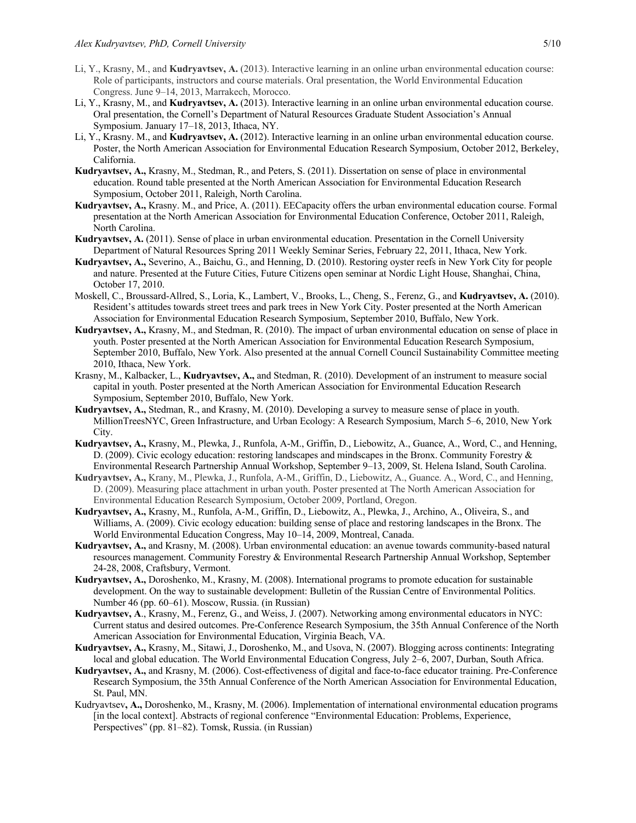- Li, Y., Krasny, M., and **Kudryavtsev, A.** (2013). Interactive learning in an online urban environmental education course: Role of participants, instructors and course materials. Oral presentation, the World Environmental Education Congress. June 9–14, 2013, Marrakech, Morocco.
- Li, Y., Krasny, M., and **Kudryavtsev, A.** (2013). Interactive learning in an online urban environmental education course. Oral presentation, the Cornell's Department of Natural Resources Graduate Student Association's Annual Symposium. January 17–18, 2013, Ithaca, NY.
- Li, Y., Krasny. M., and **Kudryavtsev, A.** (2012). Interactive learning in an online urban environmental education course. Poster, the North American Association for Environmental Education Research Symposium, October 2012, Berkeley, California.
- **Kudryavtsev, A.,** Krasny, M., Stedman, R., and Peters, S. (2011). Dissertation on sense of place in environmental education. Round table presented at the North American Association for Environmental Education Research Symposium, October 2011, Raleigh, North Carolina.
- **Kudryavtsev, A.,** Krasny. M., and Price, A. (2011). EECapacity offers the urban environmental education course. Formal presentation at the North American Association for Environmental Education Conference, October 2011, Raleigh, North Carolina.
- **Kudryavtsev, A.** (2011). Sense of place in urban environmental education. Presentation in the Cornell University Department of Natural Resources Spring 2011 Weekly Seminar Series, February 22, 2011, Ithaca, New York.
- **Kudryavtsev, A.,** Severino, A., Baichu, G., and Henning, D. (2010). Restoring oyster reefs in New York City for people and nature. Presented at the Future Cities, Future Citizens open seminar at Nordic Light House, Shanghai, China, October 17, 2010.
- Moskell, C., Broussard-Allred, S., Loria, K., Lambert, V., Brooks, L., Cheng, S., Ferenz, G., and **Kudryavtsev, A.** (2010). Resident's attitudes towards street trees and park trees in New York City. Poster presented at the North American Association for Environmental Education Research Symposium, September 2010, Buffalo, New York.
- **Kudryavtsev, A.,** Krasny, M., and Stedman, R. (2010). The impact of urban environmental education on sense of place in youth. Poster presented at the North American Association for Environmental Education Research Symposium, September 2010, Buffalo, New York. Also presented at the annual Cornell Council Sustainability Committee meeting 2010, Ithaca, New York.
- Krasny, M., Kalbacker, L., **Kudryavtsev, A.,** and Stedman, R. (2010). Development of an instrument to measure social capital in youth. Poster presented at the North American Association for Environmental Education Research Symposium, September 2010, Buffalo, New York.
- **Kudryavtsev, A.,** Stedman, R., and Krasny, M. (2010). Developing a survey to measure sense of place in youth. MillionTreesNYC, Green Infrastructure, and Urban Ecology: A Research Symposium, March 5–6, 2010, New York City.
- **Kudryavtsev, A.,** Krasny, M., Plewka, J., Runfola, A-M., Griffin, D., Liebowitz, A., Guance, A., Word, C., and Henning, D. (2009). Civic ecology education: restoring landscapes and mindscapes in the Bronx. Community Forestry & Environmental Research Partnership Annual Workshop, September 9–13, 2009, St. Helena Island, South Carolina.
- **Kudryavtsev, A.,** Krany, M., Plewka, J., Runfola, A-M., Griffin, D., Liebowitz, A., Guance. A., Word, C., and Henning, D. (2009). Measuring place attachment in urban youth. Poster presented at The North American Association for Environmental Education Research Symposium, October 2009, Portland, Oregon.
- **Kudryavtsev, A.,** Krasny, M., Runfola, A-M., Griffin, D., Liebowitz, A., Plewka, J., Archino, A., Oliveira, S., and Williams, A. (2009). Civic ecology education: building sense of place and restoring landscapes in the Bronx. The World Environmental Education Congress, May 10–14, 2009, Montreal, Canada.
- **Kudryavtsev, A.,** and Krasny, M. (2008). Urban environmental education: an avenue towards community-based natural resources management. Community Forestry & Environmental Research Partnership Annual Workshop, September 24-28, 2008, Craftsbury, Vermont.
- **Kudryavtsev, A.,** Doroshenko, M., Krasny, M. (2008). International programs to promote education for sustainable development. On the way to sustainable development: Bulletin of the Russian Centre of Environmental Politics. Number 46 (pp. 60–61). Moscow, Russia. (in Russian)
- **Kudryavtsev, A**., Krasny, M., Ferenz, G., and Weiss, J. (2007). Networking among environmental educators in NYC: Current status and desired outcomes. Pre-Conference Research Symposium, the 35th Annual Conference of the North American Association for Environmental Education, Virginia Beach, VA.
- **Kudryavtsev, A.,** Krasny, M., Sitawi, J., Doroshenko, M., and Usova, N. (2007). Blogging across continents: Integrating local and global education. The World Environmental Education Congress, July 2–6, 2007, Durban, South Africa.
- **Kudryavtsev, A.,** and Krasny, M. (2006). Cost-effectiveness of digital and face-to-face educator training. Pre-Conference Research Symposium, the 35th Annual Conference of the North American Association for Environmental Education, St. Paul, MN.
- Kudryavtsev**, A.,** Doroshenko, M., Krasny, M. (2006). Implementation of international environmental education programs [in the local context]. Abstracts of regional conference "Environmental Education: Problems, Experience, Perspectives" (pp. 81–82). Tomsk, Russia. (in Russian)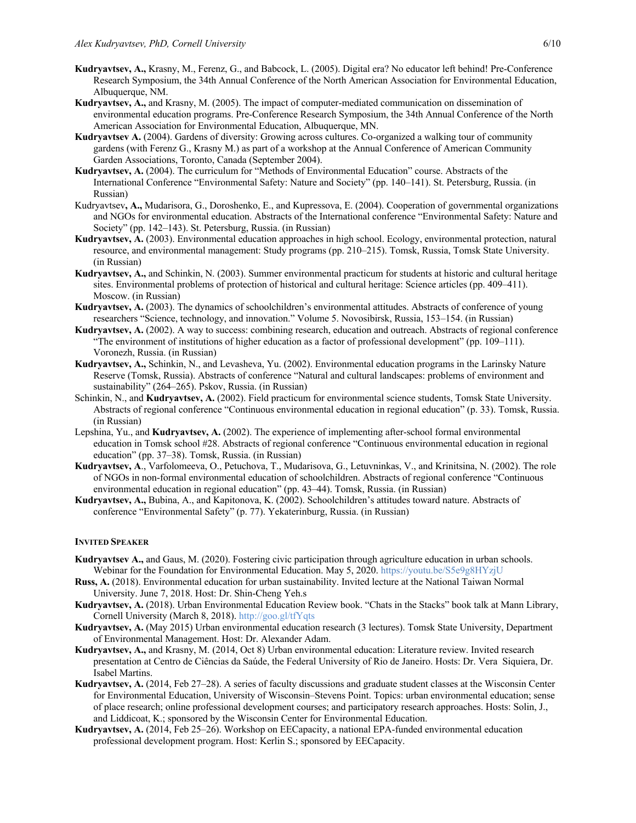- **Kudryavtsev, A.,** Krasny, M., Ferenz, G., and Babcock, L. (2005). Digital era? No educator left behind! Pre-Conference Research Symposium, the 34th Annual Conference of the North American Association for Environmental Education, Albuquerque, NM.
- **Kudryavtsev, A.,** and Krasny, M. (2005). The impact of computer-mediated communication on dissemination of environmental education programs. Pre-Conference Research Symposium, the 34th Annual Conference of the North American Association for Environmental Education, Albuquerque, MN.
- **Kudryavtsev A.** (2004). Gardens of diversity: Growing across cultures. Co-organized a walking tour of community gardens (with Ferenz G., Krasny M.) as part of a workshop at the Annual Conference of American Community Garden Associations, Toronto, Canada (September 2004).
- **Kudryavtsev, A.** (2004). The curriculum for "Methods of Environmental Education" course. Abstracts of the International Conference "Environmental Safety: Nature and Society" (pp. 140–141). St. Petersburg, Russia. (in Russian)
- Kudryavtsev**, A.,** Mudarisora, G., Doroshenko, E., and Kupressova, E. (2004). Cooperation of governmental organizations and NGOs for environmental education. Abstracts of the International conference "Environmental Safety: Nature and Society" (pp. 142–143). St. Petersburg, Russia. (in Russian)
- **Kudryavtsev, A.** (2003). Environmental education approaches in high school. Ecology, environmental protection, natural resource, and environmental management: Study programs (pp. 210–215). Tomsk, Russia, Tomsk State University. (in Russian)
- **Kudryavtsev, A.,** and Schinkin, N. (2003). Summer environmental practicum for students at historic and cultural heritage sites. Environmental problems of protection of historical and cultural heritage: Science articles (pp. 409–411). Moscow. (in Russian)
- **Kudryavtsev, A.** (2003). The dynamics of schoolchildren's environmental attitudes. Abstracts of conference of young researchers "Science, technology, and innovation." Volume 5. Novosibirsk, Russia, 153–154. (in Russian)
- **Kudryavtsev, A.** (2002). A way to success: combining research, education and outreach. Abstracts of regional conference "The environment of institutions of higher education as a factor of professional development" (pp. 109–111). Voronezh, Russia. (in Russian)
- **Kudryavtsev, A.,** Schinkin, N., and Levasheva, Yu. (2002). Environmental education programs in the Larinsky Nature Reserve (Tomsk, Russia). Abstracts of conference "Natural and cultural landscapes: problems of environment and sustainability" (264–265). Pskov, Russia. (in Russian)
- Schinkin, N., and **Kudryavtsev, A.** (2002). Field practicum for environmental science students, Tomsk State University. Abstracts of regional conference "Continuous environmental education in regional education" (p. 33). Tomsk, Russia. (in Russian)
- Lepshina, Yu., and **Kudryavtsev, A.** (2002). The experience of implementing after-school formal environmental education in Tomsk school #28. Abstracts of regional conference "Continuous environmental education in regional education" (pp. 37–38). Tomsk, Russia. (in Russian)
- **Kudryavtsev, A**., Varfolomeeva, O., Petuchova, T., Mudarisova, G., Letuvninkas, V., and Krinitsina, N. (2002). The role of NGOs in non-formal environmental education of schoolchildren. Abstracts of regional conference "Continuous environmental education in regional education" (pp. 43–44). Tomsk, Russia. (in Russian)
- **Kudryavtsev, A.,** Bubina, A., and Kapitonova, K. (2002). Schoolchildren's attitudes toward nature. Abstracts of conference "Environmental Safety" (p. 77). Yekaterinburg, Russia. (in Russian)

#### **INVITED SPEAKER**

- **Kudryavtsev A.,** and Gaus, M. (2020). Fostering civic participation through agriculture education in urban schools. Webinar for the Foundation for Environmental Education. May 5, 2020. https://youtu.be/S5e9g8HYzjU
- **Russ, A.** (2018). Environmental education for urban sustainability. Invited lecture at the National Taiwan Normal University. June 7, 2018. Host: Dr. Shin-Cheng Yeh.s
- **Kudryavtsev, A.** (2018). Urban Environmental Education Review book. "Chats in the Stacks" book talk at Mann Library, Cornell University (March 8, 2018). http://goo.gl/tfYqts
- **Kudryavtsev, A.** (May 2015) Urban environmental education research (3 lectures). Tomsk State University, Department of Environmental Management. Host: Dr. Alexander Adam.
- **Kudryavtsev, A.,** and Krasny, M. (2014, Oct 8) Urban environmental education: Literature review. Invited research presentation at Centro de Ciências da Saúde, the Federal University of Rio de Janeiro. Hosts: Dr. Vera Siquiera, Dr. Isabel Martins.
- **Kudryavtsev, A.** (2014, Feb 27–28). A series of faculty discussions and graduate student classes at the Wisconsin Center for Environmental Education, University of Wisconsin–Stevens Point. Topics: urban environmental education; sense of place research; online professional development courses; and participatory research approaches. Hosts: Solin, J., and Liddicoat, K.; sponsored by the Wisconsin Center for Environmental Education.
- **Kudryavtsev, A.** (2014, Feb 25–26). Workshop on EECapacity, a national EPA-funded environmental education professional development program. Host: Kerlin S.; sponsored by EECapacity.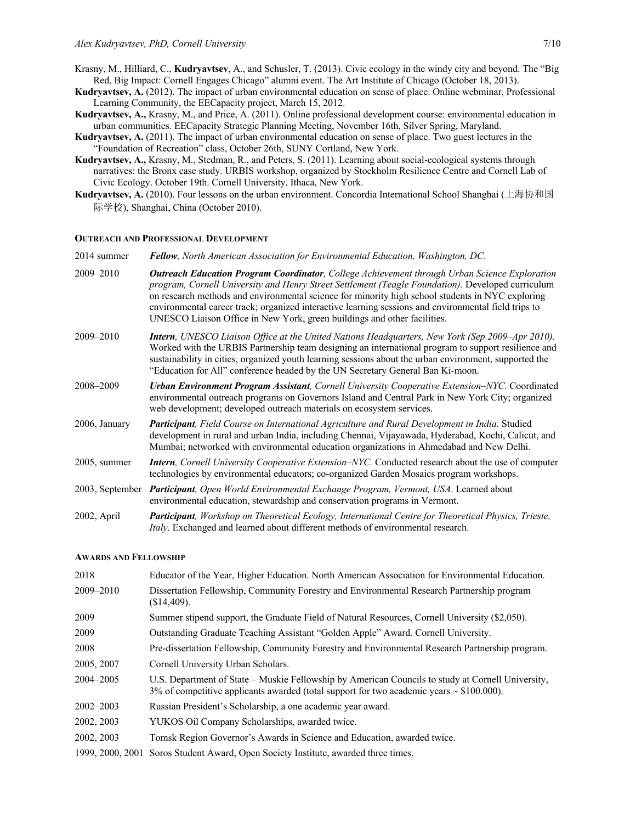- Krasny, M., Hilliard, C., **Kudryavtsev**, A., and Schusler, T. (2013). Civic ecology in the windy city and beyond. The "Big Red, Big Impact: Cornell Engages Chicago" alumni event. The Art Institute of Chicago (October 18, 2013).
- **Kudryavtsev, A.** (2012). The impact of urban environmental education on sense of place. Online webminar, Professional Learning Community, the EECapacity project, March 15, 2012.
- **Kudryavtsev, A.,** Krasny, M., and Price, A. (2011). Online professional development course: environmental education in urban communities. EECapacity Strategic Planning Meeting, November 16th, Silver Spring, Maryland.
- **Kudryavtsev, A.** (2011). The impact of urban environmental education on sense of place. Two guest lectures in the "Foundation of Recreation" class, October 26th, SUNY Cortland, New York.
- **Kudryavtsev, A.,** Krasny, M., Stedman, R., and Peters, S. (2011). Learning about social-ecological systems through narratives: the Bronx case study. URBIS workshop, organized by Stockholm Resilience Centre and Cornell Lab of Civic Ecology. October 19th. Cornell University, Ithaca, New York.
- **Kudryavtsev, A.** (2010). Four lessons on the urban environment. Concordia International School Shanghai (上海协和国 际学校), Shanghai, China (October 2010).

#### **OUTREACH AND PROFESSIONAL DEVELOPMENT**

2014 summer *Fellow, North American Association for Environmental Education, Washington, DC.*

- 2009–2010 *Outreach Education Program Coordinator, College Achievement through Urban Science Exploration program, Cornell University and Henry Street Settlement (Teagle Foundation).* Developed curriculum on research methods and environmental science for minority high school students in NYC exploring environmental career track; organized interactive learning sessions and environmental field trips to UNESCO Liaison Office in New York, green buildings and other facilities.
- 2009–2010 *Intern, UNESCO Liaison Office at the United Nations Headquarters, New York (Sep 2009–Apr 2010).* Worked with the URBIS Partnership team designing an international program to support resilience and sustainability in cities, organized youth learning sessions about the urban environment, supported the "Education for All" conference headed by the UN Secretary General Ban Ki-moon.
- 2008–2009 *Urban Environment Program Assistant, Cornell University Cooperative Extension–NYC.* Coordinated environmental outreach programs on Governors Island and Central Park in New York City; organized web development; developed outreach materials on ecosystem services.
- 2006, January *Participant, Field Course on International Agriculture and Rural Development in India*. Studied development in rural and urban India, including Chennai, Vijayawada, Hyderabad, Kochi, Calicut, and Mumbai; networked with environmental education organizations in Ahmedabad and New Delhi.
- 2005, summer *Intern, Cornell University Cooperative Extension–NYC.* Conducted research about the use of computer technologies by environmental educators; co-organized Garden Mosaics program workshops.
- 2003, September *Participant, Open World Environmental Exchange Program, Vermont, USA*. Learned about environmental education, stewardship and conservation programs in Vermont.
- 2002, April *Participant, Workshop on Theoretical Ecology, International Centre for Theoretical Physics, Trieste, Italy*. Exchanged and learned about different methods of environmental research.

#### **AWARDS AND FELLOWSHIP**

| 2018             | Educator of the Year, Higher Education. North American Association for Environmental Education.                                                                                                    |
|------------------|----------------------------------------------------------------------------------------------------------------------------------------------------------------------------------------------------|
| 2009-2010        | Dissertation Fellowship, Community Forestry and Environmental Research Partnership program<br>$(S14,409)$ .                                                                                        |
| 2009             | Summer stipend support, the Graduate Field of Natural Resources, Cornell University (\$2,050).                                                                                                     |
| 2009             | Outstanding Graduate Teaching Assistant "Golden Apple" Award. Cornell University.                                                                                                                  |
| 2008             | Pre-dissertation Fellowship, Community Forestry and Environmental Research Partnership program.                                                                                                    |
| 2005, 2007       | Cornell University Urban Scholars.                                                                                                                                                                 |
| 2004–2005        | U.S. Department of State – Muskie Fellowship by American Councils to study at Cornell University,<br>3% of competitive applicants awarded (total support for two academic years $\sim$ \$100.000). |
| 2002–2003        | Russian President's Scholarship, a one academic year award.                                                                                                                                        |
| 2002, 2003       | YUKOS Oil Company Scholarships, awarded twice.                                                                                                                                                     |
| 2002, 2003       | Tomsk Region Governor's Awards in Science and Education, awarded twice.                                                                                                                            |
| 1999, 2000, 2001 | Soros Student Award, Open Society Institute, awarded three times.                                                                                                                                  |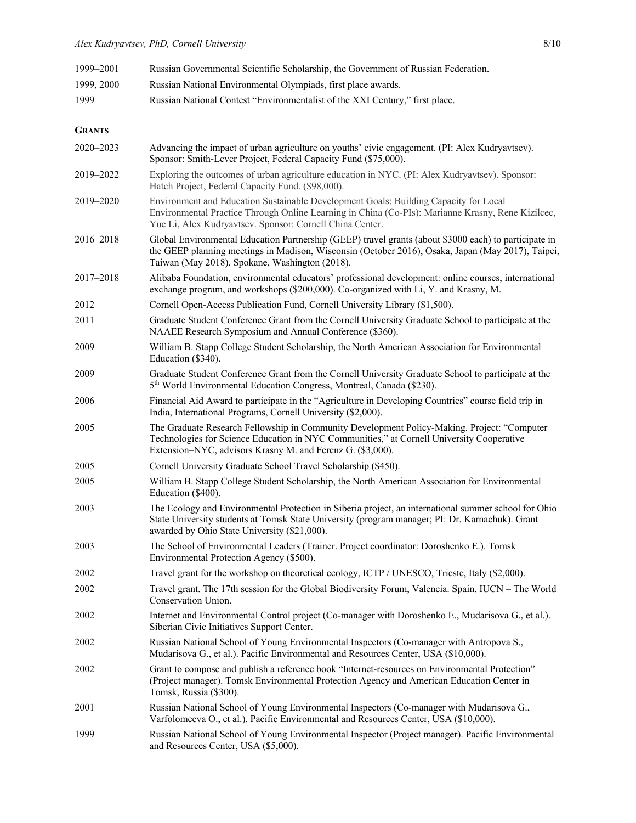| 1999-2001     | Russian Governmental Scientific Scholarship, the Government of Russian Federation.                                                                                                                                                                           |
|---------------|--------------------------------------------------------------------------------------------------------------------------------------------------------------------------------------------------------------------------------------------------------------|
| 1999, 2000    | Russian National Environmental Olympiads, first place awards.                                                                                                                                                                                                |
| 1999          | Russian National Contest "Environmentalist of the XXI Century," first place.                                                                                                                                                                                 |
| <b>GRANTS</b> |                                                                                                                                                                                                                                                              |
| 2020-2023     | Advancing the impact of urban agriculture on youths' civic engagement. (PI: Alex Kudryavtsev).<br>Sponsor: Smith-Lever Project, Federal Capacity Fund (\$75,000).                                                                                            |
| 2019-2022     | Exploring the outcomes of urban agriculture education in NYC. (PI: Alex Kudryavtsev). Sponsor:<br>Hatch Project, Federal Capacity Fund. (\$98,000).                                                                                                          |
| 2019-2020     | Environment and Education Sustainable Development Goals: Building Capacity for Local<br>Environmental Practice Through Online Learning in China (Co-PIs): Marianne Krasny, Rene Kizilcec,<br>Yue Li, Alex Kudryavtsev. Sponsor: Cornell China Center.        |
| 2016-2018     | Global Environmental Education Partnership (GEEP) travel grants (about \$3000 each) to participate in<br>the GEEP planning meetings in Madison, Wisconsin (October 2016), Osaka, Japan (May 2017), Taipei,<br>Taiwan (May 2018), Spokane, Washington (2018). |
| 2017-2018     | Alibaba Foundation, environmental educators' professional development: online courses, international<br>exchange program, and workshops (\$200,000). Co-organized with Li, Y. and Krasny, M.                                                                 |
| 2012          | Cornell Open-Access Publication Fund, Cornell University Library (\$1,500).                                                                                                                                                                                  |
| 2011          | Graduate Student Conference Grant from the Cornell University Graduate School to participate at the<br>NAAEE Research Symposium and Annual Conference (\$360).                                                                                               |
| 2009          | William B. Stapp College Student Scholarship, the North American Association for Environmental<br>Education (\$340).                                                                                                                                         |
| 2009          | Graduate Student Conference Grant from the Cornell University Graduate School to participate at the<br>5 <sup>th</sup> World Environmental Education Congress, Montreal, Canada (\$230).                                                                     |
| 2006          | Financial Aid Award to participate in the "Agriculture in Developing Countries" course field trip in<br>India, International Programs, Cornell University (\$2,000).                                                                                         |
| 2005          | The Graduate Research Fellowship in Community Development Policy-Making. Project: "Computer<br>Technologies for Science Education in NYC Communities," at Cornell University Cooperative<br>Extension–NYC, advisors Krasny M. and Ferenz G. (\$3,000).       |
| 2005          | Cornell University Graduate School Travel Scholarship (\$450).                                                                                                                                                                                               |
| 2005          | William B. Stapp College Student Scholarship, the North American Association for Environmental<br>Education (\$400).                                                                                                                                         |
| 2003          | The Ecology and Environmental Protection in Siberia project, an international summer school for Ohio<br>State University students at Tomsk State University (program manager; PI: Dr. Karnachuk). Grant<br>awarded by Ohio State University (\$21,000).      |
| 2003          | The School of Environmental Leaders (Trainer. Project coordinator: Doroshenko E.). Tomsk<br>Environmental Protection Agency (\$500).                                                                                                                         |
| 2002          | Travel grant for the workshop on theoretical ecology, ICTP / UNESCO, Trieste, Italy (\$2,000).                                                                                                                                                               |
| 2002          | Travel grant. The 17th session for the Global Biodiversity Forum, Valencia. Spain. IUCN – The World<br>Conservation Union.                                                                                                                                   |
| 2002          | Internet and Environmental Control project (Co-manager with Doroshenko E., Mudarisova G., et al.).<br>Siberian Civic Initiatives Support Center.                                                                                                             |
| 2002          | Russian National School of Young Environmental Inspectors (Co-manager with Antropova S.,<br>Mudarisova G., et al.). Pacific Environmental and Resources Center, USA (\$10,000).                                                                              |
| 2002          | Grant to compose and publish a reference book "Internet-resources on Environmental Protection"<br>(Project manager). Tomsk Environmental Protection Agency and American Education Center in<br>Tomsk, Russia (\$300).                                        |
| 2001          | Russian National School of Young Environmental Inspectors (Co-manager with Mudarisova G.,<br>Varfolomeeva O., et al.). Pacific Environmental and Resources Center, USA (\$10,000).                                                                           |
| 1999          | Russian National School of Young Environmental Inspector (Project manager). Pacific Environmental<br>and Resources Center, USA (\$5,000).                                                                                                                    |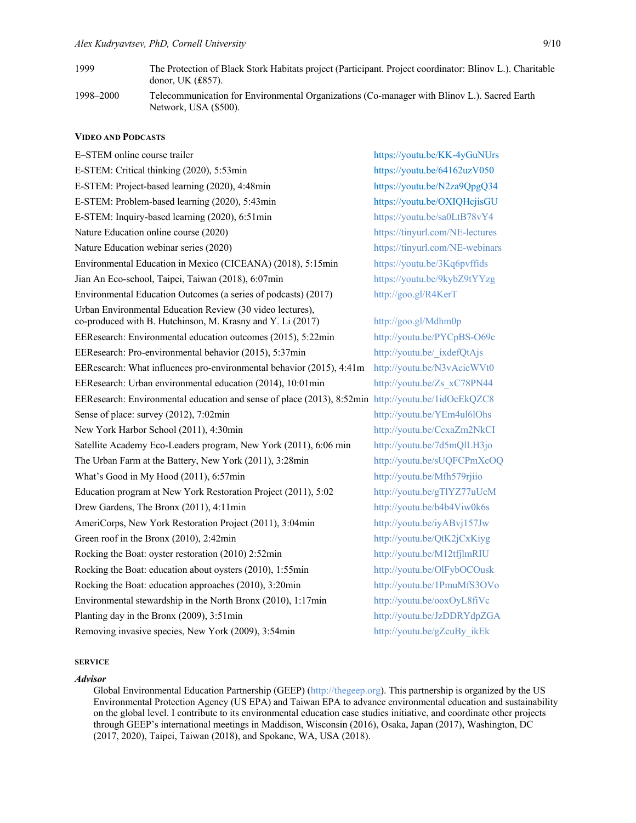- 1999 The Protection of Black Stork Habitats project (Participant. Project coordinator: Blinov L.). Charitable donor, UK (₤857). 1998–2000 Telecommunication for Environmental Organizations (Co-manager with Blinov L.). Sacred Earth
- Network, USA (\$500).

### **VIDEO AND PODCASTS**

E–STEM online course trailer https://youtu.be/KK-4yGuNUrs E-STEM: Critical thinking (2020), 5:53min https://youtu.be/64162uzV050 E-STEM: Project-based learning (2020), 4:48min https://youtu.be/N2za9QpgQ34 E-STEM: Problem-based learning (2020), 5:43min https://youtu.be/OXIQHcjisGU E-STEM: Inquiry-based learning (2020), 6:51min https://youtu.be/sa0LtB78vY4 Nature Education online course (2020) https://tinyurl.com/NE-lectures Nature Education webinar series (2020) https://tinyurl.com/NE-webinars Environmental Education in Mexico (CICEANA) (2018), 5:15min https://youtu.be/3Kq6pvffids Jian An Eco-school, Taipei, Taiwan (2018), 6:07min https://youtu.be/9kybZ9tYYzg Environmental Education Outcomes (a series of podcasts) (2017) http://goo.gl/R4KerT Urban Environmental Education Review (30 video lectures), co-produced with B. Hutchinson, M. Krasny and Y. Li (2017) http://goo.gl/Mdhm0p EEResearch: Environmental education outcomes (2015), 5:22min http://youtu.be/PYCpBS-O69c EEResearch: Pro-environmental behavior (2015), 5:37min http://youtu.be/ ixdefQtAjs EEResearch: What influences pro-environmental behavior (2015), 4:41m http://youtu.be/N3vAcicWVt0 EEResearch: Urban environmental education (2014), 10:01min http://youtu.be/Zs\_xC78PN44 EEResearch: Environmental education and sense of place (2013), 8:52min http://youtu.be/1idOcEkQZC8 Sense of place: survey (2012), 7:02min http://youtu.be/YEm4ul6lOhs New York Harbor School (2011), 4:30min http://youtu.be/CcxaZm2NkCI Satellite Academy Eco-Leaders program, New York (2011), 6:06 min http://youtu.be/7d5mQlLH3jo The Urban Farm at the Battery, New York (2011), 3:28min http://youtu.be/sUQFCPmXcOQ What's Good in My Hood (2011), 6:57min http://youtu.be/Mfh579rjiio Education program at New York Restoration Project (2011), 5:02 http://youtu.be/gTlYZ77uUcM Drew Gardens, The Bronx (2011), 4:11min http://youtu.be/b4b4Viw0k6s AmeriCorps, New York Restoration Project (2011), 3:04min http://youtu.be/iyABvj157Jw Green roof in the Bronx (2010), 2:42min http://youtu.be/QtK2jCxKiyg Rocking the Boat: oyster restoration (2010) 2:52min http://youtu.be/M12tfjlmRIU Rocking the Boat: education about oysters (2010), 1:55min http://youtu.be/OlFybOCOusk Rocking the Boat: education approaches (2010), 3:20min http://youtu.be/1PmuMfS3OVo Environmental stewardship in the North Bronx (2010), 1:17min http://youtu.be/ooxOyL8fiVc Planting day in the Bronx (2009), 3:51min http://youtu.be/JzDDRYdpZGA Removing invasive species, New York (2009), 3:54min http://youtu.be/gZcuBy ikEk

# **SERVICE**

#### *Advisor*

Global Environmental Education Partnership (GEEP) (http://thegeep.org). This partnership is organized by the US Environmental Protection Agency (US EPA) and Taiwan EPA to advance environmental education and sustainability on the global level. I contribute to its environmental education case studies initiative, and coordinate other projects through GEEP's international meetings in Maddison, Wisconsin (2016), Osaka, Japan (2017), Washington, DC (2017, 2020), Taipei, Taiwan (2018), and Spokane, WA, USA (2018).